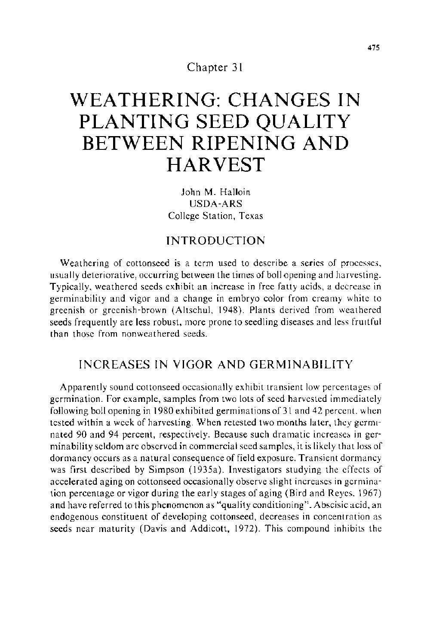Chapter 31

# **WEATHERING: CHANGES IN PLANTING SEED QUALITY BETWEEN RIPENING AND HARVEST**

John M. Halloin USDA-ARS College Station, Texas

# INTRODUCTION

Weathering of cottonseed is a term used to describe a series of processes, usually deteriorative, occurring between the times of boll opening and harvesting. Typically, weathered seeds exhibit an increase in free fatty acids, a decrease in germinability and vigor and a change in embryo color from creamy white to greenish or greenish-brown (Altschul, 1948). Plants derived from weathered seeds frequently are less robust, more prone to seedling diseases and less fruttful than those from nonweathered seeds.

# INCREASES IN VIGOR AND GERMINABILITY

Apparently sound cottonseed occasionally exhibit transient low percentages of germination. For example, samples from two lots of seed harvested immediately following boll opening in 1980 exhibited germinations of 31 and 42 percent. when tested within a week of harvesting. When retested two months later, they germtnated 90 and 94 percent, respectively. Because such dramatic increases in germinability seldom are observed in commercial seed samples, it is likely that loss of dormancy occurs as a natural consequence of field exposure. Transient dormancy was first described by Simpson (1935a). Investigators studying the effects of accelerated aging on cottonseed occasionally observe slight increases in germination percentage or vigor during the early stages of aging (Bird and Reyes. 1967) and have referred to this phenomenon as "quality conditioning". Abscisic acid, an endogenous constituent of developing cottonseed, decreases in concentration as seeds near maturity (Davis and Addicott, 1972). This compound inhibits the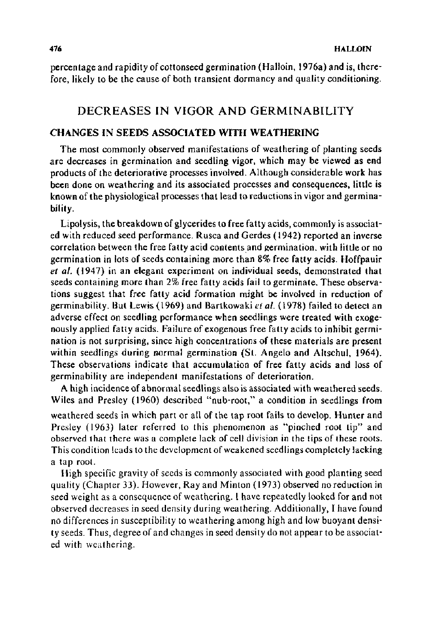percentage and rapidity of cottonseed germination (Halloin, 1976a) and is, therefore, likely to be the cause of both transient dormancy and quality conditioning.

### DECREASES IN VIGOR AND GERMINABILITY

#### CHANGES IN SEEDS ASSOCIATED WITH WEATHERING

The most commonly observed manifestations of weathering of planting seeds are decreases in germination and seedling vigor, which may be viewed as end products of the deteriorative processes involved. Although considerable work has been done on weathering and its associated processes and consequences, little is known of the physiological processes that lead to reductions in vigor and germinability.

Lipolysis, the breakdown of glycerides to free fatty acids, commonly is associated with reduced seed performance. Rusca and Gerdes ( 1942) reported an inverse correlation between the free fatty acid contentsand \_germination. with little or no germination in lots of seeds containing more than 8% free fatty acids. Hoffpauir *et a/.* (1947) in an elegant experiment on individual seeds, demonstrated that seeds containing more than 2% free fatty acids fail to germinate. These observations suggest that free fatty acid formation might be involved in reduction of germinability. But Lewis ( 1969) and Bartkowaki *eta/.* ( 1978) failed to detect an adverse effect on seedling performance when seedlings were treated with exogenously applied fatty acids. Failure of exogenous free fatty acids to inhibit germination is not surprising, since high concentrations of these materials are present within seedlings during normal germination (St. Angelo and Altschul, 1964). These observations indicate that accumulation of free fatty acids and loss of germinability are independent manifestations of deterioration.

A high incidence of abnormal seedlings also is associated with weathered seeds. Wiles and Presley (1960) described "nub-root," a condition in seedlings from weathered seeds in which part or all of the tap root fails to develop. Hunter and Presley (1963) later referred to this phenomenon as "pinched root tip" and observed that there was a complete lack of cell division in the tips of these roots. This condition leads to the development of weakened seedlings completely lacking a tap root.

High specific gravity of seeds is commonly associated with good planting seed quality (Chapter 33). However, Ray and Minton ( 1973) observed no reduction in seed weight as a consequence of weathering. I have repeatedly looked for and not observed decreases in seed density during weathering. Additionally, I have found no differences in susceptibility to weathering among high and low buoyant density seeds. Thus, degree of and changes in seed density do not appear to be associated with weathering.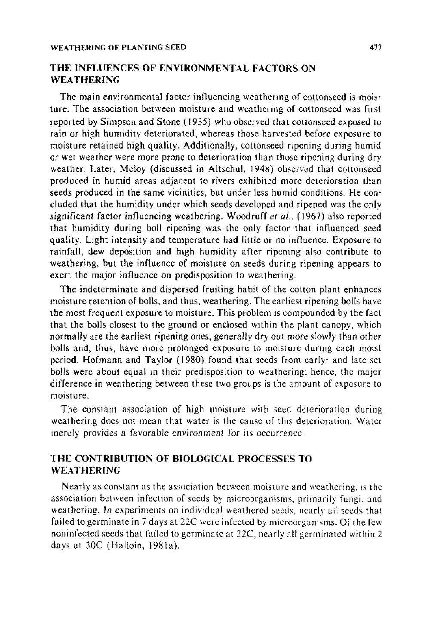### THE INFLUENCES OF ENVIRONMENTAL FACTORS ON WEATHERING

The main environmental factor influencing weathenng of cottonseed is moisture. The association between moisture and weathering of cottonseed was first reported by Simpson and Stone ( 1935) who observed that cottonseed exposed to rain or high humidity deteriorated, whereas those harvested before exposure to moisture retained high quality. Additionally, cottonseed ripening during humid or wet weather were more prone to deterioration than those ripening during dry weather. Later, Meloy (discussed in Altschul, 1948) observed that cottonseed produced in humid areas adjacent to rivers exhibited more deterioration than seeds produced in the same vicinities, but under less humid conditions. He con· eluded that the humidity under which seeds developed and ripened was the only significant factor influencing weathering. Woodruff *et al.,* (1967) also reported that humidity during boll ripening was the only factor that influenced seed quality. Light intensity and temperature had little or no influence. Exposure to rainfall, dew deposition and high humidity after ripenmg also contribute to weathering, but the influence of moisture on seeds during ripening appears to exert the major influence on predisposition to weathering.

The indeterminate and dispersed fruiting habit of the cotton plant enhances moisture retention of bolls, and thus, weathering. The earliest ripening bolls have the most frequent exposure to moisture. This problem 1s compounded by the fact that the bolls closest to the ground or enclosed wtthin the plant canopy, which normally are the earliest ripening ones, generally dry out more slowly than other bolls and, thus, have more prolonged exposure to moisture during each moist period. Hofmann and Taylor (1980) found that seeds from early- and late-set bolls were about equal m their predisposition to weathering; hence, the major difference in weathering between these two groups is the amount of exposure to moisture.

The constant association of high moisture with seed deterioration during weathering does not mean that water is the cause of this deterioration. Water merely provides a favorable environment for its occurrence.

#### THE CONTRIBUTION OF BIOLOGICAL PROCESSES TO WEATHERING

Nearly as constant as the association between moisture and weathering. ts the association between infection of seeds by microorganisms. primarily fungi. and weathering. In experiments on individual weathered seeds, nearly all seeds that failed to germinate in 7 days at 22C were infected by microorganisms. Of the few noninfeeted seeds that failed to germinate at 22C, nearly all germinated within 2 days at 30C (Halloin, 1981a).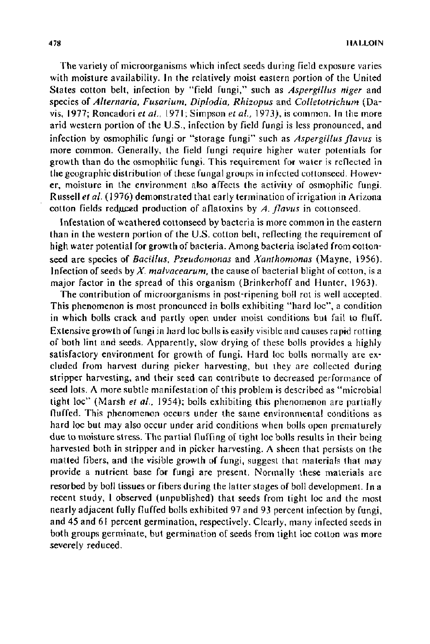The variety of microorganisms which infect seeds during field exposure varies with moisture availability. In the relatively moist eastern portion of the United States cotton belt, infection by "field fungi," such as *Aspergillus niger* and species of *Alternaria, Fusarium, Dip/odia, Rhizopus* and *Colletotrichum* (Davis, 1977; Roncadori *et al.*, 1971; Simpson *et al.*, 1973), is common. In the more arid western portion of the U.S., infection by field fungi is less pronounced, and infection by osmophilic fungi or "storage fungi" such as *Aspergillus flavus* is more common. Generally, the field fungi require higher water potentials for growth than do the osmophilic fungi. This requirement for water is reflected in the geographic distribution of these fungal groups in infected cottonseed. However, moisture in the environment also affects the activity of osmophilic fungi. Russell *eta/.* ( 1976) demonstrated that early termination of irrigation in Arizona cotton fields reduced production of aflatoxins by *A. flavus* in cottonseed.

Infestation of weathered cottonseed by bacteria is more common in the eastern than in the western portion of the U.S. cotton belt, reflecting the requirement of high water potential for growth of bacteria. Among bacteria isolated from cottonseed are species of *Bacillus, Pseudomonas* and *Xanthomonas* (Mayne, 1956). Infection of seeds by *X. malvacearum,* the cause of bacterial blight of cotton, is a major factor in the spread of this organism (Brinkerhoff and Hunter, t963).

The contribution of microorganisms in post-ripening boll rot is well accepted. This phenomenon is most pronounced in bolls exhibiting "hard loc", a condition in which bolls crack and partly open under moist conditions but fail to fluff. Extensive growth of fungi in hard loc bolls is easily visible and causes rapid rotting of both lint and seeds. Apparently, slow drying of these bolls provides a highly satisfactory environment for growth of fungi. Hard loc bolls normally are excluded from harvest during picker harvesting, but they are collected during stripper harvesting, and their seed can contribute to decreased performance of seed lots. A more subtle manifestation of this problem is described as "microbial tight loc" (Marsh *eta/.,* 1954); bolls exhibiting this phenomenon are partially fluffed. This phenomenon occurs under the same environmental conditions as hard loc but may also occur under arid conditions when bolls open prematurely due to moisture stress. The partial fluffing of tight Joe bolls results in their being harvested both in stripper and in picker harvesting. A sheen that persists on the matted fibers, and the visible growth of fungi, suggest that materials that may provide a nutrient base for fungi are present. Normally these materials are resorbed by boll tissues or fibers during the latter stages of boll development. In a recent study, I observed (unpublished) that seeds from tight loc and the most nearly adjacent fully fluffed bolls exhibited 97 and 93 percent infection by fungi, and 45 and 61 percent germination, respectively. Clearly, many infected seeds in both groups germinate, but germination of seeds from tight loc cotton was more severely reduced.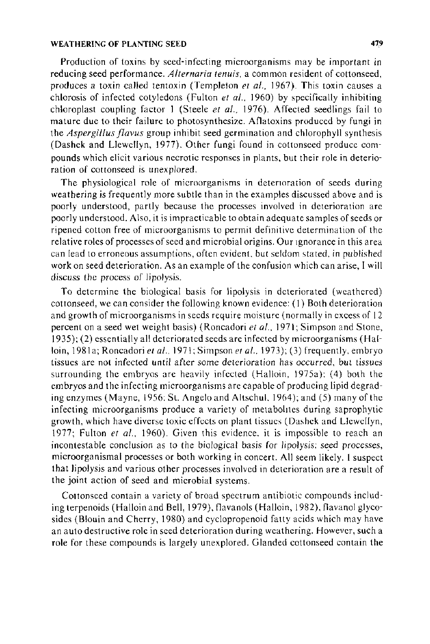#### WEATHERING OF PLANTING SEED 479

Production of toxins by seed-infecting microorganisms may be important in reducing seed performance. *Alternaria tenuis,* a common resident of cottonseed, produces a toxin called tentoxin (Templeton *et a/.,* 1967). This toxin causes a chlorosis of infected cotyledons (Fulton *et a!.,* 1960) by specifically inhibiting chloroplast coupling factor I (Steele *eta/.,* 1976). Affected seedlings fail to mature due to their failure to photosynthesize. Aflatoxins produced by fungi in the *Aspergillus flavus* group inhibit seed germination and chlorophyll synthesis (Dashek and Llewellyn, 1977). Other fungi found in cottonseed produce compounds which elicit various necrotic responses in plants, but their role in deterioration of cottonseed is unexplored.

The physiological role of microorganisms in detenoration of seeds during weathering is frequently more subtle than in the examples discussed above and is poorly understood, partly because the processes involved in deterioration are poorly understood. Also, it is impracticable to obtain adequate samples of seeds or ripened cotton free of microorganisms to permit definitive determination of the relative roles of processes of seed and microbial origins. Our tgnorance in this area can lead to erroneous assumptions, often evident, but seldom stated, in published work on seed deterioration. As an example of the confusion which can arise, I will discuss the process of lipolysis.

To determine the biological basis for lipolysis in deteriorated (weathered) cottonseed, we can consider the following known evidence: (I) Both deterioration and growth of microorganisms in seeds require moisture (normally in excess of 12 percent on a seed wet weight basis) (Roncadori *eta!.,* 1971; Simpson and Stone, 1935); (2) essentially all deteriorated seeds are infected by microorganisms (Halloin, 1981a; Roncadori *et al.*, 1971; Simpson *et al.*, 1973); (3) frequently, embryo tissues are not infected until after some deterioration has occurred, but tissues surrounding the embryos are heavily infected (Halloin, 1975a): (4) both the embryos and the infecting microorganisms are capable of producing lipid degrading enzymes (Mayne, 1956; St. Angelo and Altschul. 1964 ); and (5) many of the infecting microorganisms produce a variety of metabolites during saprophytic growth, which have diverse toxic effects on plant tissues (Dashek and Llewellyn, 1977; Fulton *et a/.,* 1960). Given this evidence. it is impossible to reach an incontestable conclusion as to the biological basis for lipolysis; seed processes, microorganismal processes or both working in concert. All seem likely. I suspect that lipolysis and various other processes involved in deterioration are a result of the joint action of seed and microbial systems.

Cottonseed contain a variety of broad spectrum antibiotic compounds including terpenoids (Halloin and Bell, 1979), flavanols (Halloin, 1982), flavanol glycosides (Blouin and Cherry, 1980) and cyclopropenoid fatty acids which may have an auto destructive role in seed deterioration during weathering. However, such a role for these compounds is largely unexplored. G landed cottonseed contain the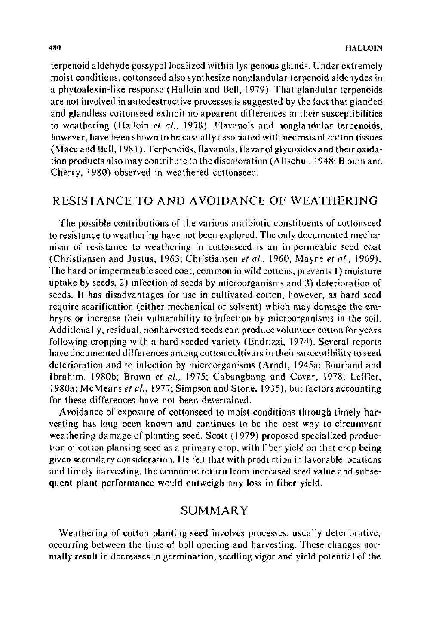terpenoid aldehyde gossypol localized within lysigenous glands. Under extremely moist conditions, cottonseed also synthesize nonglandular terpenoid aldehydes in a phytoalexin-like response (Halloin and Bell, 1979). That glandular terpenoids are not involved in autodestructive processes is suggested by the fact that glanded ·and glandless cottonseed exhibit no apparent differences in their susceptibilities to weathering (Halloin *et al.,* 1978). Flavanols and nonglandular terpenoids, however, have been shown to be casually associated with necrosis of cotton tissues (Mace and Bell, 1981 ). Terpenoids, flavanols, flavanol glycosides and their oxidation products also may contribute to the discoloration (Altschul, 1948; Blouin and Cherry, 1980) observed in weathered cottonseed.

# RESISTANCE TO AND A VOIDANCE OF WEATHERING

The possible contributions of the various antibiotic constituents of cottonseed to resistance to weathering have not been explored. The only documented mechanism of resistance to weathering in cottonseed is an impermeable seed coat (Christiansen and Justus, 1963; Christiansen *er a/.,* 1960; Mayne *et a/.,* 1969). The hard or impermeable seed coat, common in wild cottons, prevents I) moisture uptake by seeds, 2) infection of seeds by microorganisms and 3) deterioration of seeds. It has disadvantages for use in cultivated cotton, however, as hard seed require scarification (either mechanical or solvent) which may damage the embryos or increase their vulnerability to infection by microorganisms in the soil. Additionally, residual, nonharvested seeds can produce volunteer cotton for years following cropping with a hard seeded variety (Endrizzi, 1974). Several reports have documented differences among cotton cultivars in their susceptibility to seed deterioration and to infection by microorganisms (Arndt, l945a; Bourland and Ibrahim, l980b; Brown *et al.,* 1975; Cabangbang and Covar, 1978; Leffler, 1980a; McMeans *eta/.,* 1977; Simpson and Stone, 1935), but factors accounting for these differences have not been determined.

Avoidance of exposure of cottonseed to moist conditions through timely harvesting has long been known and continues to be the best way to circumvent weathering damage of planting seed. Scott ( 1979) proposed specialized production of cotton planting seed as a primary crop, with fiber yield on that crop being given secondary consideration. He felt that with production in favorable locations and timely harvesting, the economic return from increased seed value and subsequent plant performance would outweigh any loss in fiber yield.

## SUMMARY

Weathering of cotton planting seed involves processes, usually deteriorative, occurring between the time of boll opening and harvesting. These changes normally result in decreases in germination, seedling vigor and yield potential of the